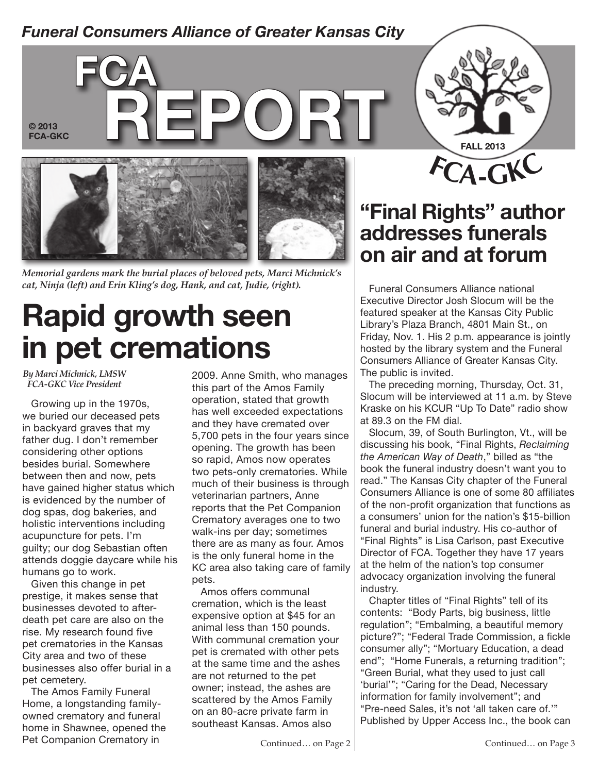### *Funeral Consumers Alliance of Greater Kansas City*



*Memorial gardens mark the burial places of beloved pets, Marci Michnick's*  cat, Ninja (left) and Erin Kling's dog, Hank, and cat, Judie, (right). Funeral Consumers Alliance national

# **Rapid growth seen in pet cremations**

*By Marci Michnick, LMSW FCA-GKC Vice President*

Growing up in the 1970s, we buried our deceased pets in backyard graves that my father dug. I don't remember considering other options besides burial. Somewhere between then and now, pets have gained higher status which is evidenced by the number of dog spas, dog bakeries, and holistic interventions including acupuncture for pets. I'm guilty; our dog Sebastian often attends doggie daycare while his humans go to work.

Given this change in pet prestige, it makes sense that businesses devoted to afterdeath pet care are also on the rise. My research found five pet crematories in the Kansas City area and two of these businesses also offer burial in a pet cemetery.

The Amos Family Funeral Home, a longstanding familyowned crematory and funeral home in Shawnee, opened the Pet Companion Crematory in

2009. Anne Smith, who manages this part of the Amos Family operation, stated that growth has well exceeded expectations and they have cremated over 5,700 pets in the four years since opening. The growth has been so rapid, Amos now operates two pets-only crematories. While much of their business is through veterinarian partners, Anne reports that the Pet Companion Crematory averages one to two walk-ins per day; sometimes there are as many as four. Amos is the only funeral home in the KC area also taking care of family pets.

Amos offers communal cremation, which is the least expensive option at \$45 for an animal less than 150 pounds. With communal cremation your pet is cremated with other pets at the same time and the ashes are not returned to the pet owner; instead, the ashes are scattered by the Amos Family on an 80-acre private farm in southeast Kansas. Amos also



## **"Final Rights" author addresses funerals on air and at forum**

Executive Director Josh Slocum will be the featured speaker at the Kansas City Public Library's Plaza Branch, 4801 Main St., on Friday, Nov. 1. His 2 p.m. appearance is jointly hosted by the library system and the Funeral Consumers Alliance of Greater Kansas City. The public is invited.

The preceding morning, Thursday, Oct. 31, Slocum will be interviewed at 11 a.m. by Steve Kraske on his KCUR "Up To Date" radio show at 89.3 on the FM dial.

Slocum, 39, of South Burlington, Vt., will be discussing his book, "Final Rights, *Reclaiming the American Way of Death*," billed as "the book the funeral industry doesn't want you to read." The Kansas City chapter of the Funeral Consumers Alliance is one of some 80 affiliates of the non-profit organization that functions as a consumers' union for the nation's \$15-billion funeral and burial industry. His co-author of "Final Rights" is Lisa Carlson, past Executive Director of FCA. Together they have 17 years at the helm of the nation's top consumer advocacy organization involving the funeral industry.

Chapter titles of "Final Rights" tell of its contents: "Body Parts, big business, little regulation"; "Embalming, a beautiful memory picture?"; "Federal Trade Commission, a fickle consumer ally"; "Mortuary Education, a dead end"; "Home Funerals, a returning tradition"; "Green Burial, what they used to just call 'burial'"; "Caring for the Dead, Necessary information for family involvement"; and "Pre-need Sales, it's not 'all taken care of.'" Published by Upper Access Inc., the book can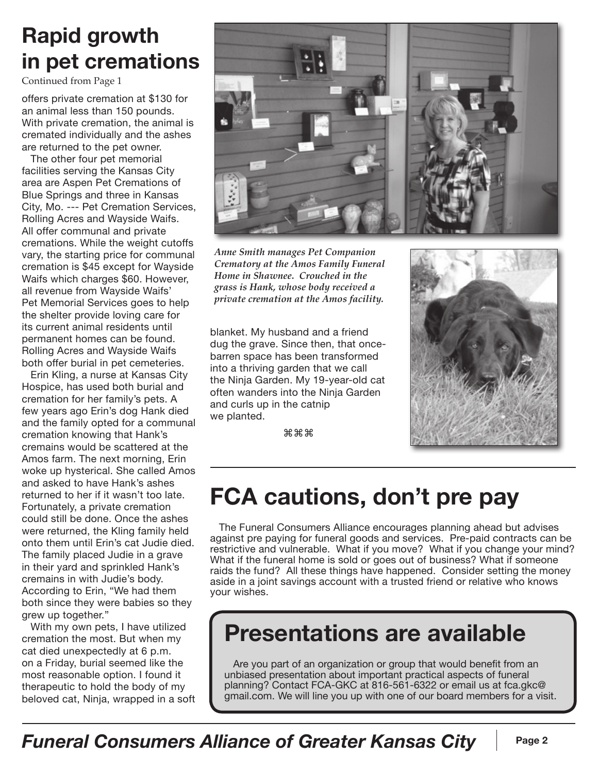## **Rapid growth in pet cremations**

Continued from Page 1

offers private cremation at \$130 for an animal less than 150 pounds. With private cremation, the animal is cremated individually and the ashes are returned to the pet owner.

The other four pet memorial facilities serving the Kansas City area are Aspen Pet Cremations of Blue Springs and three in Kansas City, Mo. --- Pet Cremation Services, Rolling Acres and Wayside Waifs. All offer communal and private cremations. While the weight cutoffs vary, the starting price for communal cremation is \$45 except for Wayside Waifs which charges \$60. However, all revenue from Wayside Waifs' Pet Memorial Services goes to help the shelter provide loving care for its current animal residents until permanent homes can be found. Rolling Acres and Wayside Waifs both offer burial in pet cemeteries.

Erin Kling, a nurse at Kansas City Hospice, has used both burial and cremation for her family's pets. A few years ago Erin's dog Hank died and the family opted for a communal cremation knowing that Hank's cremains would be scattered at the Amos farm. The next morning, Erin woke up hysterical. She called Amos and asked to have Hank's ashes returned to her if it wasn't too late. Fortunately, a private cremation could still be done. Once the ashes were returned, the Kling family held onto them until Erin's cat Judie died. The family placed Judie in a grave in their yard and sprinkled Hank's cremains in with Judie's body. According to Erin, "We had them both since they were babies so they grew up together."

With my own pets, I have utilized cremation the most. But when my cat died unexpectedly at 6 p.m. on a Friday, burial seemed like the most reasonable option. I found it therapeutic to hold the body of my beloved cat, Ninja, wrapped in a soft



*Anne Smith manages Pet Companion Crematory at the Amos Family Funeral Home in Shawnee. Crouched in the grass is Hank, whose body received a private cremation at the Amos facility.* 

blanket. My husband and a friend dug the grave. Since then, that oncebarren space has been transformed into a thriving garden that we call the Ninja Garden. My 19-year-old cat often wanders into the Ninja Garden and curls up in the catnip we planted.

⌘⌘⌘



## **FCA cautions, don't pre pay**

The Funeral Consumers Alliance encourages planning ahead but advises against pre paying for funeral goods and services. Pre-paid contracts can be restrictive and vulnerable. What if you move? What if you change your mind? What if the funeral home is sold or goes out of business? What if someone raids the fund? All these things have happened. Consider setting the money aside in a joint savings account with a trusted friend or relative who knows your wishes.

## **Presentations are available**

Are you part of an organization or group that would benefit from an unbiased presentation about important practical aspects of funeral planning? Contact FCA-GKC at 816-561-6322 or email us at fca.gkc@ gmail.com. We will line you up with one of our board members for a visit.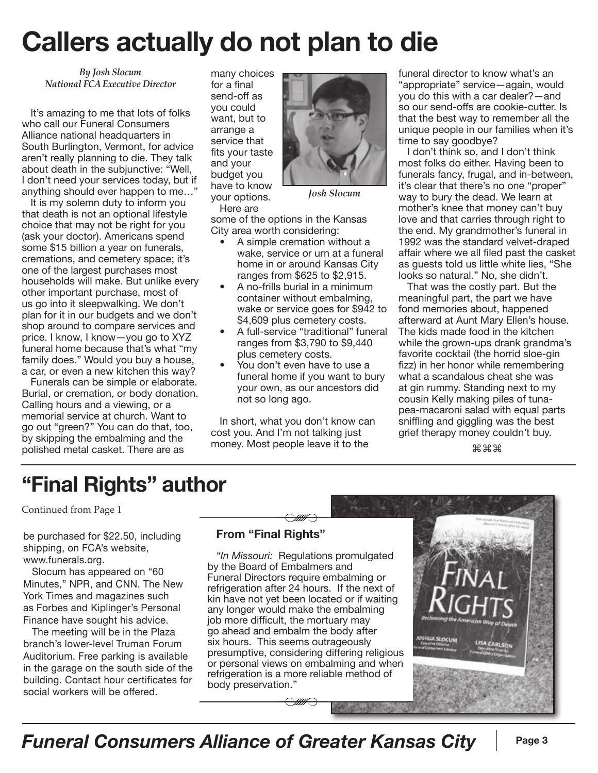# **Callers actually do not plan to die**

*By Josh Slocum National FCA Executive Director*

It's amazing to me that lots of folks who call our Funeral Consumers Alliance national headquarters in South Burlington, Vermont, for advice aren't really planning to die. They talk about death in the subjunctive: "Well, I don't need your services today, but if anything should ever happen to me…"

It is my solemn duty to inform you that death is not an optional lifestyle choice that may not be right for you (ask your doctor). Americans spend some \$15 billion a year on funerals, cremations, and cemetery space; it's one of the largest purchases most households will make. But unlike every other important purchase, most of us go into it sleepwalking. We don't plan for it in our budgets and we don't shop around to compare services and price. I know, I know—you go to XYZ funeral home because that's what "my family does." Would you buy a house, a car, or even a new kitchen this way?

Funerals can be simple or elaborate. Burial, or cremation, or body donation. Calling hours and a viewing, or a memorial service at church. Want to go out "green?" You can do that, too, by skipping the embalming and the polished metal casket. There are as

many choices for a final send-off as you could want, but to arrange a service that fits your taste and your budget you have to know your options. Here are



*Josh Slocum*

some of the options in the Kansas City area worth considering:

- A simple cremation without a wake, service or urn at a funeral home in or around Kansas City ranges from \$625 to \$2,915.
- A no-frills burial in a minimum container without embalming, wake or service goes for \$942 to \$4,609 plus cemetery costs.
- A full-service "traditional" funeral ranges from \$3,790 to \$9,440 plus cemetery costs.
- You don't even have to use a funeral home if you want to bury your own, as our ancestors did not so long ago.

In short, what you don't know can cost you. And I'm not talking just money. Most people leave it to the

funeral director to know what's an "appropriate" service—again, would you do this with a car dealer?—and so our send-offs are cookie-cutter. Is that the best way to remember all the unique people in our families when it's time to say goodbye?

I don't think so, and I don't think most folks do either. Having been to funerals fancy, frugal, and in-between, it's clear that there's no one "proper" way to bury the dead. We learn at mother's knee that money can't buy love and that carries through right to the end. My grandmother's funeral in 1992 was the standard velvet-draped affair where we all filed past the casket as guests told us little white lies, "She looks so natural." No, she didn't.

That was the costly part. But the meaningful part, the part we have fond memories about, happened afterward at Aunt Mary Ellen's house. The kids made food in the kitchen while the grown-ups drank grandma's favorite cocktail (the horrid sloe-gin fizz) in her honor while remembering what a scandalous cheat she was at gin rummy. Standing next to my cousin Kelly making piles of tunapea-macaroni salad with equal parts sniffling and giggling was the best grief therapy money couldn't buy.

⌘⌘⌘

## **"Final Rights" author**

Continued from Page 1

be purchased for \$22.50, including shipping, on FCA's website, www.funerals.org.

Slocum has appeared on "60 Minutes," NPR, and CNN. The New York Times and magazines such as Forbes and Kiplinger's Personal Finance have sought his advice.

The meeting will be in the Plaza branch's lower-level Truman Forum Auditorium. Free parking is available in the garage on the south side of the building. Contact hour certificates for social workers will be offered.

#### **From "Final Rights"**

*"In Missouri:* Regulations promulgated by the Board of Embalmers and Funeral Directors require embalming or refrigeration after 24 hours. If the next of kin have not yet been located or if waiting any longer would make the embalming job more difficult, the mortuary may go ahead and embalm the body after six hours. This seems outrageously presumptive, considering differing religious or personal views on embalming and when refrigeration is a more reliable method of body preservation."

*Funeral Consumers Alliance of Greater Kansas City* **Page 3**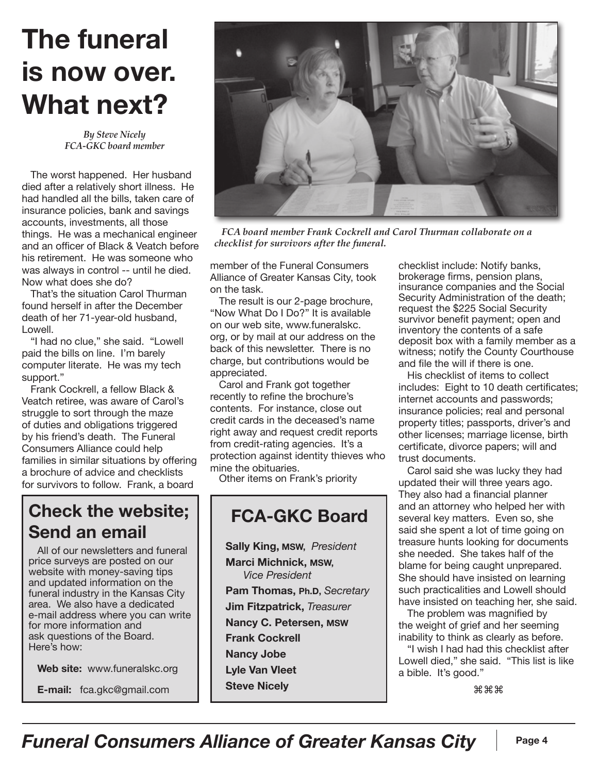# **The funeral is now over. What next?**

*By Steve Nicely FCA-GKC board member*

The worst happened. Her husband died after a relatively short illness. He had handled all the bills, taken care of insurance policies, bank and savings accounts, investments, all those things. He was a mechanical engineer and an officer of Black & Veatch before his retirement. He was someone who was always in control -- until he died. Now what does she do?

That's the situation Carol Thurman found herself in after the December death of her 71-year-old husband, Lowell.

"I had no clue," she said. "Lowell paid the bills on line. I'm barely computer literate. He was my tech support."

Frank Cockrell, a fellow Black & Veatch retiree, was aware of Carol's struggle to sort through the maze of duties and obligations triggered by his friend's death. The Funeral Consumers Alliance could help families in similar situations by offering a brochure of advice and checklists for survivors to follow. Frank, a board

### **Check the website; Send an email**

All of our newsletters and funeral price surveys are posted on our website with money-saving tips and updated information on the funeral industry in the Kansas City area. We also have a dedicated e-mail address where you can write for more information and ask questions of the Board. Here's how:

**Web site:** www.funeralskc.org

**E-mail:** fca.gkc@gmail.com



 *FCA board member Frank Cockrell and Carol Thurman collaborate on a checklist for survivors after the funeral.* 

member of the Funeral Consumers Alliance of Greater Kansas City, took on the task.

The result is our 2-page brochure, "Now What Do I Do?" It is available on our web site, www.funeralskc. org, or by mail at our address on the back of this newsletter. There is no charge, but contributions would be appreciated.

Carol and Frank got together recently to refine the brochure's contents. For instance, close out credit cards in the deceased's name right away and request credit reports from credit-rating agencies. It's a protection against identity thieves who mine the obituaries.

Other items on Frank's priority

### **FCA-GKC Board**

**Sally King, MSW,** *President* **Marci Michnick, MSW,** *Vice President* **Pam Thomas, Ph.D,** *Secretary* **Jim Fitzpatrick,** *Treasurer* **Nancy C. Petersen, MSW Frank Cockrell Nancy Jobe Lyle Van Vleet Steve Nicely**

checklist include: Notify banks, brokerage firms, pension plans, insurance companies and the Social Security Administration of the death; request the \$225 Social Security survivor benefit payment; open and inventory the contents of a safe deposit box with a family member as a witness; notify the County Courthouse and file the will if there is one.

His checklist of items to collect includes: Eight to 10 death certificates; internet accounts and passwords; insurance policies; real and personal property titles; passports, driver's and other licenses; marriage license, birth certificate, divorce papers; will and trust documents.

Carol said she was lucky they had updated their will three years ago. They also had a financial planner and an attorney who helped her with several key matters. Even so, she said she spent a lot of time going on treasure hunts looking for documents she needed. She takes half of the blame for being caught unprepared. She should have insisted on learning such practicalities and Lowell should have insisted on teaching her, she said.

The problem was magnified by the weight of grief and her seeming inability to think as clearly as before.

"I wish I had had this checklist after Lowell died," she said. "This list is like a bible. It's good."

⌘⌘⌘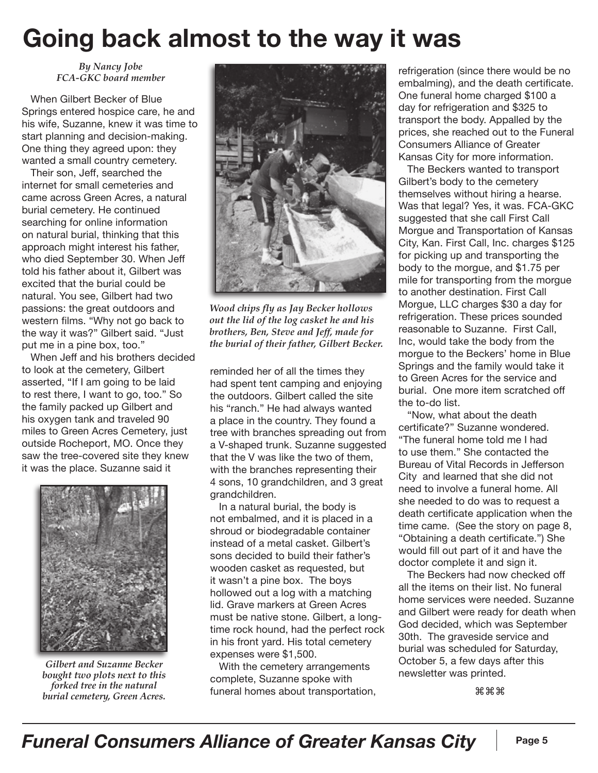## **Going back almost to the way it was**

*By Nancy Jobe FCA-GKC board member*

When Gilbert Becker of Blue Springs entered hospice care, he and his wife, Suzanne, knew it was time to start planning and decision-making. One thing they agreed upon: they wanted a small country cemetery.

Their son, Jeff, searched the internet for small cemeteries and came across Green Acres, a natural burial cemetery. He continued searching for online information on natural burial, thinking that this approach might interest his father, who died September 30. When Jeff told his father about it, Gilbert was excited that the burial could be natural. You see, Gilbert had two passions: the great outdoors and western films. "Why not go back to the way it was?" Gilbert said. "Just put me in a pine box, too."

When Jeff and his brothers decided to look at the cemetery, Gilbert asserted, "If I am going to be laid to rest there, I want to go, too." So the family packed up Gilbert and his oxygen tank and traveled 90 miles to Green Acres Cemetery, just outside Rocheport, MO. Once they saw the tree-covered site they knew it was the place. Suzanne said it



*Gilbert and Suzanne Becker bought two plots next to this forked tree in the natural burial cemetery, Green Acres.*



*Wood chips fly as Jay Becker hollows out the lid of the log casket he and his brothers, Ben, Steve and Jeff, made for the burial of their father, Gilbert Becker.*

reminded her of all the times they had spent tent camping and enjoying the outdoors. Gilbert called the site his "ranch." He had always wanted a place in the country. They found a tree with branches spreading out from a V-shaped trunk. Suzanne suggested that the V was like the two of them, with the branches representing their 4 sons, 10 grandchildren, and 3 great grandchildren.

In a natural burial, the body is not embalmed, and it is placed in a shroud or biodegradable container instead of a metal casket. Gilbert's sons decided to build their father's wooden casket as requested, but it wasn't a pine box. The boys hollowed out a log with a matching lid. Grave markers at Green Acres must be native stone. Gilbert, a longtime rock hound, had the perfect rock in his front yard. His total cemetery expenses were \$1,500.

With the cemetery arrangements complete, Suzanne spoke with funeral homes about transportation, refrigeration (since there would be no embalming), and the death certificate. One funeral home charged \$100 a day for refrigeration and \$325 to transport the body. Appalled by the prices, she reached out to the Funeral Consumers Alliance of Greater Kansas City for more information.

The Beckers wanted to transport Gilbert's body to the cemetery themselves without hiring a hearse. Was that legal? Yes, it was. FCA-GKC suggested that she call First Call Morgue and Transportation of Kansas City, Kan. First Call, Inc. charges \$125 for picking up and transporting the body to the morgue, and \$1.75 per mile for transporting from the morgue to another destination. First Call Morgue, LLC charges \$30 a day for refrigeration. These prices sounded reasonable to Suzanne. First Call, Inc, would take the body from the morgue to the Beckers' home in Blue Springs and the family would take it to Green Acres for the service and burial. One more item scratched off the to-do list.

"Now, what about the death certificate?" Suzanne wondered. "The funeral home told me I had to use them." She contacted the Bureau of Vital Records in Jefferson City and learned that she did not need to involve a funeral home. All she needed to do was to request a death certificate application when the time came. (See the story on page 8, "Obtaining a death certificate.") She would fill out part of it and have the doctor complete it and sign it.

The Beckers had now checked off all the items on their list. No funeral home services were needed. Suzanne and Gilbert were ready for death when God decided, which was September 30th. The graveside service and burial was scheduled for Saturday, October 5, a few days after this newsletter was printed.

⌘⌘⌘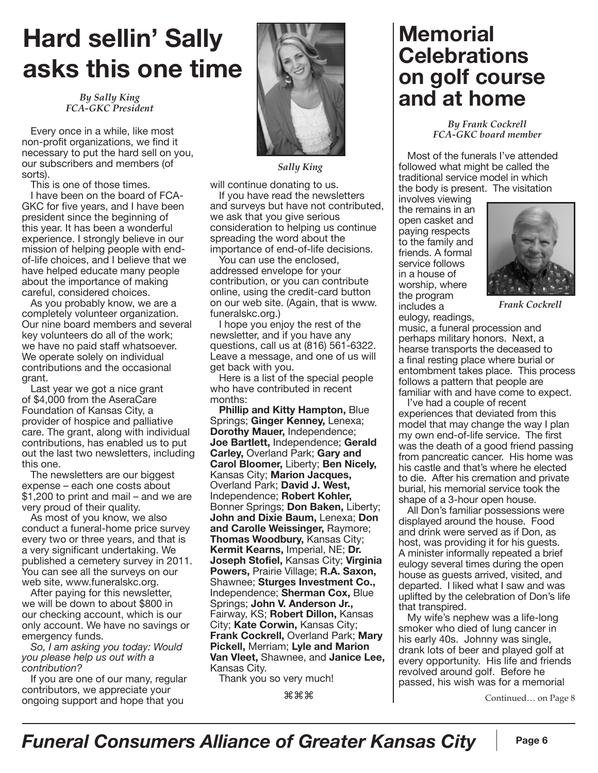# **Hard sellin' Sally asks this one time**

*By Sally King FCA-GKC President*

Every once in a while, like most non-profit organizations, we find it necessary to put the hard sell on you, our subscribers and members (of sorts).

This is one of those times.

I have been on the board of FCA-GKC for five years, and I have been president since the beginning of this year. It has been a wonderful experience. I strongly believe in our mission of helping people with endof-life choices, and I believe that we have helped educate many people about the importance of making careful, considered choices.

As you probably know, we are a completely volunteer organization. Our nine board members and several key volunteers do all of the work; we have no paid staff whatsoever. We operate solely on individual contributions and the occasional grant.

Last year we got a nice grant of \$4,000 from the AseraCare Foundation of Kansas City, a provider of hospice and palliative care. The grant, along with individual contributions, has enabled us to put out the last two newsletters, including this one.

The newsletters are our biggest expense – each one costs about \$1,200 to print and mail – and we are very proud of their quality.

As most of you know, we also conduct a funeral-home price survey every two or three years, and that is a very significant undertaking. We published a cemetery survey in 2011. You can see all the surveys on our web site, www.funeralskc.org.

After paying for this newsletter, we will be down to about \$800 in our checking account, which is our only account. We have no savings or emergency funds.

*So, I am asking you today: Would you please help us out with a contribution?* 

If you are one of our many, regular contributors, we appreciate your ongoing support and hope that you



*Sally King*

will continue donating to us. If you have read the newsletters

and surveys but have not contributed, we ask that you give serious consideration to helping us continue spreading the word about the importance of end-of-life decisions.

You can use the enclosed, addressed envelope for your contribution, or you can contribute online, using the credit-card button on our web site. (Again, that is www. funeralskc.org.)

I hope you enjoy the rest of the newsletter, and if you have any questions, call us at (816) 561-6322. Leave a message, and one of us will get back with you.

Here is a list of the special people who have contributed in recent months:

**Phillip and Kitty Hampton,** Blue Springs; **Ginger Kenney,** Lenexa; **Dorothy Mauer,** Independence; **Joe Bartlett,** Independence; **Gerald Carley,** Overland Park; **Gary and Carol Bloomer,** Liberty; **Ben Nicely,** Kansas City; **Marion Jacques,** Overland Park; **David J. West,** Independence; **Robert Kohler,** Bonner Springs; **Don Baken,** Liberty; **John and Dixie Baum,** Lenexa; **Don and Carolle Weissinger,** Raymore; **Thomas Woodbury,** Kansas City; **Kermit Kearns,** Imperial, NE; **Dr. Joseph Stofiel,** Kansas City; **Virginia Powers,** Prairie Village; **R.A. Saxon,** Shawnee; **Sturges Investment Co.,** Independence; **Sherman Cox,** Blue Springs; **John V. Anderson Jr.,** Fairway, KS; **Robert Dillon,** Kansas City; **Kate Corwin,** Kansas City; **Frank Cockrell,** Overland Park; **Mary Pickell,** Merriam; **Lyle and Marion Van Vleet,** Shawnee, and **Janice Lee,** Kansas City.

Thank you so very much!

⌘⌘⌘

### **Memorial Celebrations on golf course and at home**

*By Frank Cockrell FCA-GKC board member*

Most of the funerals I've attended followed what might be called the traditional service model in which the body is present. The visitation

involves viewing the remains in an open casket and paying respects to the family and friends. A formal service follows in a house of worship, where the program includes a eulogy, readings,



*Frank Cockrell*

music, a funeral procession and perhaps military honors. Next, a hearse transports the deceased to a final resting place where burial or entombment takes place. This process follows a pattern that people are familiar with and have come to expect.

I've had a couple of recent experiences that deviated from this model that may change the way I plan my own end-of-life service. The first was the death of a good friend passing from pancreatic cancer. His home was his castle and that's where he elected to die. After his cremation and private burial, his memorial service took the shape of a 3-hour open house.

All Don's familiar possessions were displayed around the house. Food and drink were served as if Don, as host, was providing it for his guests. A minister informally repeated a brief eulogy several times during the open house as guests arrived, visited, and departed. I liked what I saw and was uplifted by the celebration of Don's life that transpired.

My wife's nephew was a life-long smoker who died of lung cancer in his early 40s. Johnny was single, drank lots of beer and played golf at every opportunity. His life and friends revolved around golf. Before he passed, his wish was for a memorial

Continued… on Page 8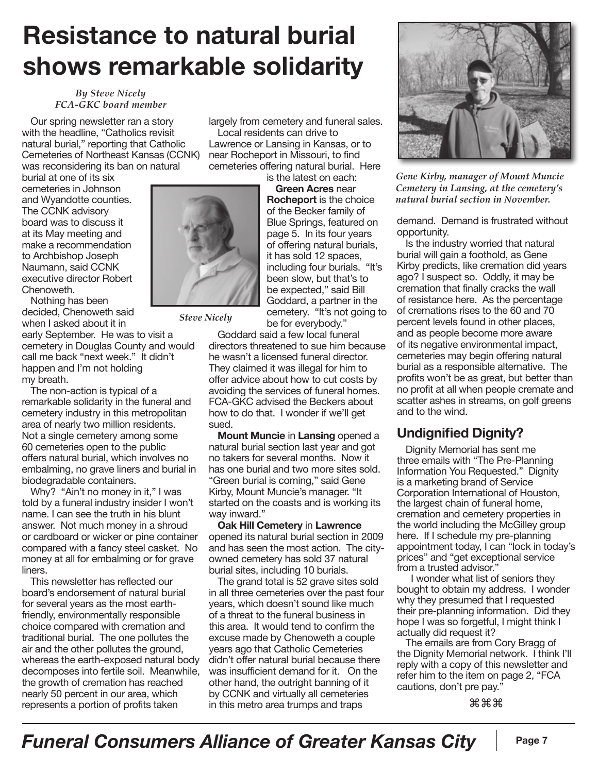## **Resistance to natural burial shows remarkable solidarity**

#### *By Steve Nicely FCA-GKC board member*

Our spring newsletter ran a story with the headline, "Catholics revisit natural burial," reporting that Catholic Cemeteries of Northeast Kansas (CCNK) was reconsidering its ban on natural

burial at one of its six cemeteries in Johnson and Wyandotte counties. The CCNK advisory board was to discuss it at its May meeting and make a recommendation to Archbishop Joseph Naumann, said CCNK executive director Robert Chenoweth.

Nothing has been decided, Chenoweth said when I asked about it in

early September. He was to visit a cemetery in Douglas County and would call me back "next week." It didn't happen and I'm not holding my breath.

The non-action is typical of a remarkable solidarity in the funeral and cemetery industry in this metropolitan area of nearly two million residents. Not a single cemetery among some 60 cemeteries open to the public offers natural burial, which involves no embalming, no grave liners and burial in biodegradable containers.

Why? "Ain't no money in it," I was told by a funeral industry insider I won't name. I can see the truth in his blunt answer. Not much money in a shroud or cardboard or wicker or pine container compared with a fancy steel casket. No money at all for embalming or for grave liners.

This newsletter has reflected our board's endorsement of natural burial for several years as the most earthfriendly, environmentally responsible choice compared with cremation and traditional burial. The one pollutes the air and the other pollutes the ground, whereas the earth-exposed natural body decomposes into fertile soil. Meanwhile, the growth of cremation has reached nearly 50 percent in our area, which represents a portion of profits taken

largely from cemetery and funeral sales. Local residents can drive to Lawrence or Lansing in Kansas, or to near Rocheport in Missouri, to find cemeteries offering natural burial. Here

is the latest on each: **Green Acres** near **Rocheport** is the choice of the Becker family of Blue Springs, featured on page 5. In its four years of offering natural burials, it has sold 12 spaces, including four burials. "It's been slow, but that's to be expected," said Bill Goddard, a partner in the cemetery. "It's not going to be for everybody."

*Steve Nicely*

Goddard said a few local funeral directors threatened to sue him because he wasn't a licensed funeral director. They claimed it was illegal for him to offer advice about how to cut costs by avoiding the services of funeral homes. FCA-GKC advised the Beckers about how to do that. I wonder if we'll get sued.

**Mount Muncie** in **Lansing** opened a natural burial section last year and got no takers for several months. Now it has one burial and two more sites sold. "Green burial is coming," said Gene Kirby, Mount Muncie's manager. "It started on the coasts and is working its way inward."

**Oak Hill Cemetery** in **Lawrence** opened its natural burial section in 2009 and has seen the most action. The cityowned cemetery has sold 37 natural burial sites, including 10 burials.

The grand total is 52 grave sites sold in all three cemeteries over the past four years, which doesn't sound like much of a threat to the funeral business in this area. It would tend to confirm the excuse made by Chenoweth a couple years ago that Catholic Cemeteries didn't offer natural burial because there was insufficient demand for it. On the other hand, the outright banning of it by CCNK and virtually all cemeteries in this metro area trumps and traps



*Gene Kirby, manager of Mount Muncie Cemetery in Lansing, at the cemetery's natural burial section in November.* 

demand. Demand is frustrated without opportunity.

Is the industry worried that natural burial will gain a foothold, as Gene Kirby predicts, like cremation did years ago? I suspect so. Oddly, it may be cremation that finally cracks the wall of resistance here. As the percentage of cremations rises to the 60 and 70 percent levels found in other places, and as people become more aware of its negative environmental impact, cemeteries may begin offering natural burial as a responsible alternative. The profits won't be as great, but better than no profit at all when people cremate and scatter ashes in streams, on golf greens and to the wind.

#### **Undignified Dignity?**

Dignity Memorial has sent me three emails with "The Pre-Planning Information You Requested." Dignity is a marketing brand of Service Corporation International of Houston, the largest chain of funeral home, cremation and cemetery properties in the world including the McGilley group here. If I schedule my pre-planning appointment today, I can "lock in today's prices" and "get exceptional service from a trusted advisor."

 I wonder what list of seniors they bought to obtain my address. I wonder why they presumed that I requested their pre-planning information. Did they hope I was so forgetful, I might think I actually did request it?

The emails are from Cory Bragg of the Dignity Memorial network. I think I'll reply with a copy of this newsletter and refer him to the item on page 2, "FCA cautions, don't pre pay."

⌘⌘⌘